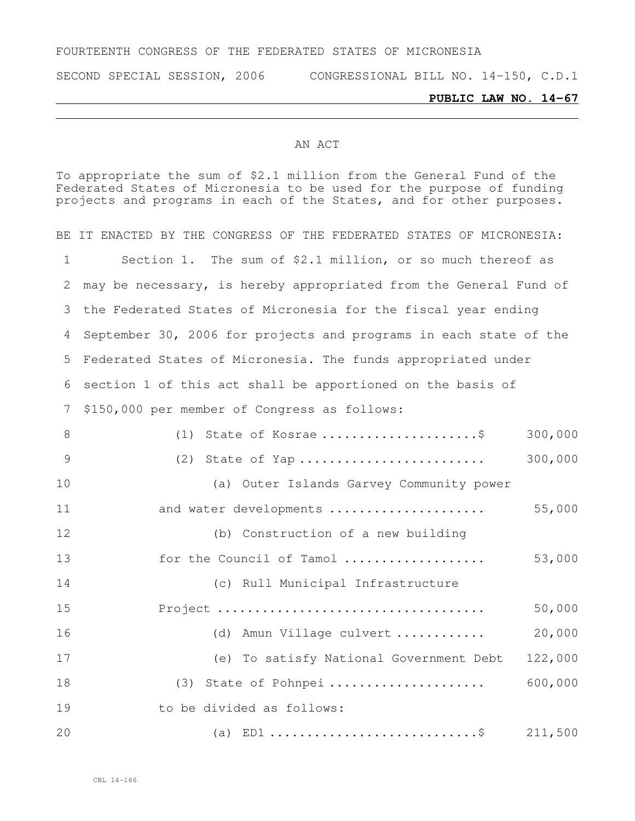#### FOURTEENTH CONGRESS OF THE FEDERATED STATES OF MICRONESIA

SECOND SPECIAL SESSION, 2006 CONGRESSIONAL BILL NO. 14-150, C.D.1

#### **PUBLIC LAW NO. 14-67**

#### AN ACT

To appropriate the sum of \$2.1 million from the General Fund of the Federated States of Micronesia to be used for the purpose of funding projects and programs in each of the States, and for other purposes.

BE IT ENACTED BY THE CONGRESS OF THE FEDERATED STATES OF MICRONESIA: Section 1. The sum of \$2.1 million, or so much thereof as may be necessary, is hereby appropriated from the General Fund of the Federated States of Micronesia for the fiscal year ending September 30, 2006 for projects and programs in each state of the Federated States of Micronesia. The funds appropriated under section 1 of this act shall be apportioned on the basis of \$150,000 per member of Congress as follows: (1) State of Kosrae .....................\$ 300,000 (2) State of Yap ......................... 300,000 (a) Outer Islands Garvey Community power and water developments ..................... 55,000 (b) Construction of a new building for the Council of Tamol ................... 53,000 (c) Rull Municipal Infrastructure Project .................................... 50,000 (d) Amun Village culvert ............ 20,000 (e) To satisfy National Government Debt 122,000 (3) State of Pohnpei ..................... 600,000 19 to be divided as follows: (a) ED1 ............................\$ 211,500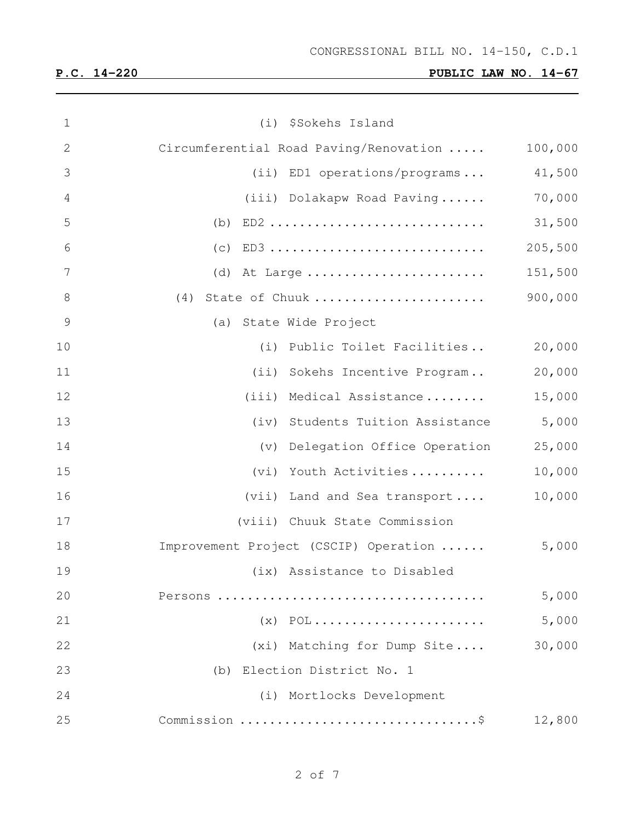| $\mathbf 1$    | (i) \$Sokehs Island                    |         |
|----------------|----------------------------------------|---------|
| $\mathbf{2}$   | Circumferential Road Paving/Renovation | 100,000 |
| 3              | (ii) ED1 operations/programs           | 41,500  |
| $\overline{4}$ | (iii) Dolakapw Road Paving             | 70,000  |
| 5              |                                        | 31,500  |
| 6              | $(c)$ ED3                              | 205,500 |
| $\overline{7}$ |                                        | 151,500 |
| $8\,$          | State of Chuuk<br>(4)                  | 900,000 |
| $\mathcal{G}$  | (a) State Wide Project                 |         |
| 10             | (i) Public Toilet Facilities           | 20,000  |
| 11             | (ii) Sokehs Incentive Program          | 20,000  |
| 12             | (iii) Medical Assistance               | 15,000  |
| 13             | (iv) Students Tuition Assistance       | 5,000   |
| 14             | (v) Delegation Office Operation        | 25,000  |
| 15             | Youth Activities<br>(vi)               | 10,000  |
| 16             | (vii) Land and Sea transport           | 10,000  |
| 17             | (viii) Chuuk State Commission          |         |
| 18             | Improvement Project (CSCIP) Operation  | 5,000   |
| 19             | (ix) Assistance to Disabled            |         |
| 20             |                                        | 5,000   |
| 21             | $(x)$ POL                              | 5,000   |
| 22             | (xi) Matching for Dump Site            | 30,000  |
| 23             | (b) Election District No. 1            |         |
| 24             | (i) Mortlocks Development              |         |
| 25             |                                        | 12,800  |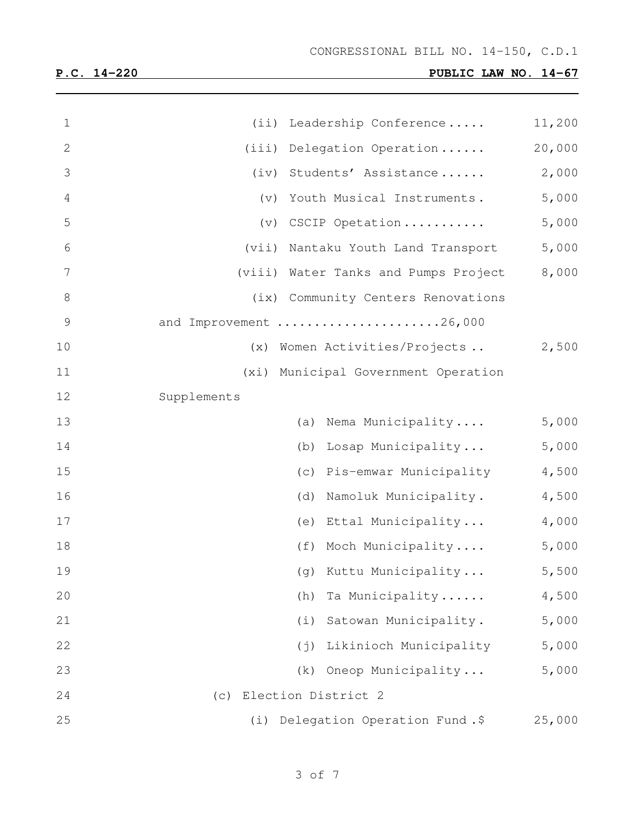| $\mathbf 1$   | Leadership Conference<br>(iii)        | 11,200 |
|---------------|---------------------------------------|--------|
| 2             | (iii)<br>Delegation Operation         | 20,000 |
| 3             | Students' Assistance<br>(iv)          | 2,000  |
| 4             | Youth Musical Instruments.<br>(v)     | 5,000  |
| 5             | CSCIP Opetation<br>(v)                | 5,000  |
| 6             | (vii)<br>Nantaku Youth Land Transport | 5,000  |
| 7             | (viii) Water Tanks and Pumps Project  | 8,000  |
| 8             | Community Centers Renovations<br>(ix) |        |
| $\mathcal{G}$ | and Improvement 26,000                |        |
| 10            | Women Activities/Projects<br>(x)      | 2,500  |
| 11            | (xi) Municipal Government Operation   |        |
| 12            | Supplements                           |        |
| 13            | Nema Municipality<br>(a)              | 5,000  |
| 14            | Losap Municipality<br>(b)             | 5,000  |
| 15            | Pis-emwar Municipality<br>(c)         | 4,500  |
| 16            | Namoluk Municipality.<br>(d)          | 4,500  |
| 17            | Ettal Municipality<br>(e)             | 4,000  |
| 18            | Moch Municipality<br>(f)              | 5,000  |
| 19            | (g) Kuttu Municipality                | 5,500  |
| 20            | Ta Municipality<br>(h)                | 4,500  |
| 21            | Satowan Municipality.<br>(i)          | 5,000  |
| 22            | Likinioch Municipality<br>$(\dagger)$ | 5,000  |
| 23            | Oneop Municipality<br>(k)             | 5,000  |
| 24            | Election District 2<br>(C)            |        |
| 25            | (i) Delegation Operation Fund.\$      | 25,000 |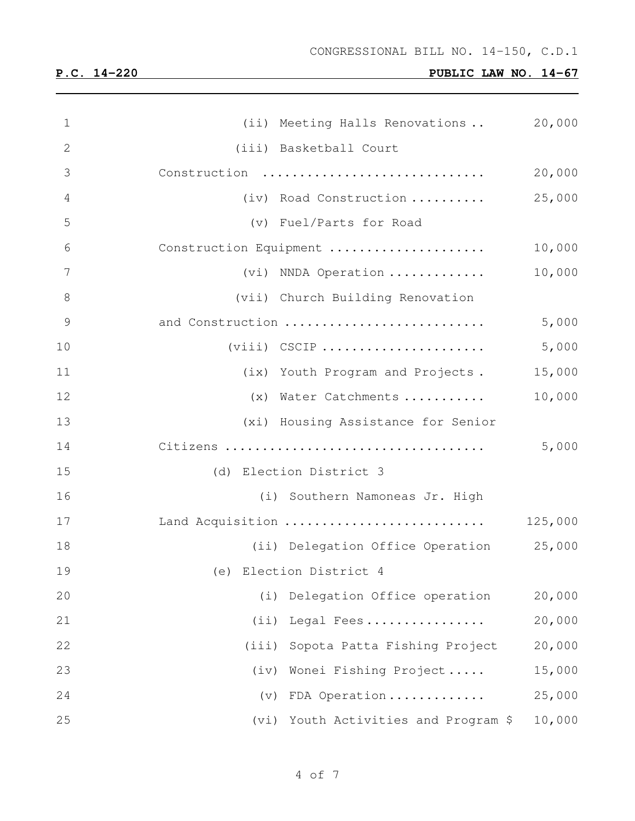| $\mathbf 1$    | (ii) Meeting Halls Renovations          | 20,000  |
|----------------|-----------------------------------------|---------|
| $\overline{2}$ | (iii) Basketball Court                  |         |
| 3              | Construction                            | 20,000  |
| 4              | (iv) Road Construction                  | 25,000  |
| 5              | (v) Fuel/Parts for Road                 |         |
| 6              | Construction Equipment                  | 10,000  |
| $\overline{7}$ | (vi) NNDA Operation                     | 10,000  |
| $8\,$          | (vii) Church Building Renovation        |         |
| 9              | and Construction                        | 5,000   |
| 10             | $(viii)$ CSCIP                          | 5,000   |
| 11             | (ix) Youth Program and Projects.        | 15,000  |
| 12             | (x) Water Catchments                    | 10,000  |
| 13             | (xi) Housing Assistance for Senior      |         |
| 14             |                                         | 5,000   |
| 15             | (d) Election District 3                 |         |
| 16             | (i) Southern Namoneas Jr. High          |         |
| 17             | Land Acquisition                        | 125,000 |
| 18             | (ii) Delegation Office Operation 25,000 |         |
| 19             | (e) Election District 4                 |         |
| 20             | Delegation Office operation<br>(i)      | 20,000  |
| 21             | (iii)<br>Legal Fees                     | 20,000  |
| 22             | (iii)<br>Sopota Patta Fishing Project   | 20,000  |
| 23             | Wonei Fishing Project<br>(iv)           | 15,000  |
| 24             | FDA Operation<br>(v)                    | 25,000  |
| 25             | Youth Activities and Program \$<br>(vi) | 10,000  |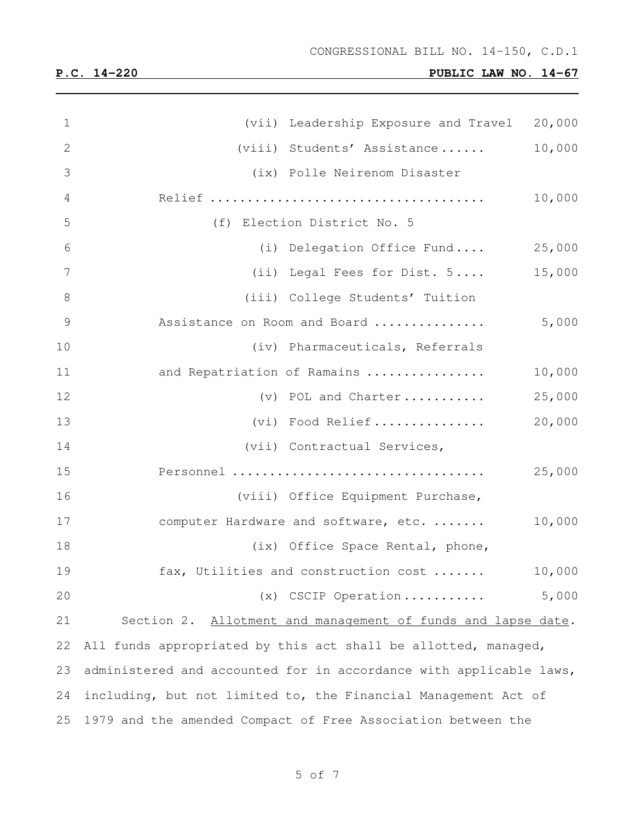| $\mathbf 1$    | (vii) Leadership Exposure and Travel 20,000                        |        |
|----------------|--------------------------------------------------------------------|--------|
| $\mathbf{2}$   | (viii) Students' Assistance                                        | 10,000 |
| 3              | (ix) Polle Neirenom Disaster                                       |        |
| $\overline{4}$ |                                                                    | 10,000 |
| 5              | (f) Election District No. 5                                        |        |
| 6              | (i) Delegation Office Fund                                         | 25,000 |
| 7              | (ii) Legal Fees for Dist. 5                                        | 15,000 |
| $8\,$          | (iii) College Students' Tuition                                    |        |
| $\overline{9}$ | Assistance on Room and Board                                       | 5,000  |
| 10             | (iv) Pharmaceuticals, Referrals                                    |        |
| 11             | and Repatriation of Ramains                                        | 10,000 |
| 12             | (v) POL and Charter                                                | 25,000 |
| 13             | (vi) Food Relief                                                   | 20,000 |
| 14             | (vii) Contractual Services,                                        |        |
| 15             | Personnel                                                          | 25,000 |
| 16             | (viii) Office Equipment Purchase,                                  |        |
| 17             | computer Hardware and software, etc.                               | 10,000 |
| 18             | (ix) Office Space Rental, phone,                                   |        |
| 19             | fax, Utilities and construction cost                               | 10,000 |
| 20             | (x) CSCIP Operation                                                | 5,000  |
| 21             | Section 2. Allotment and management of funds and lapse date.       |        |
| 22             | All funds appropriated by this act shall be allotted, managed,     |        |
| 23             | administered and accounted for in accordance with applicable laws, |        |
| 24             | including, but not limited to, the Financial Management Act of     |        |
| 25             | 1979 and the amended Compact of Free Association between the       |        |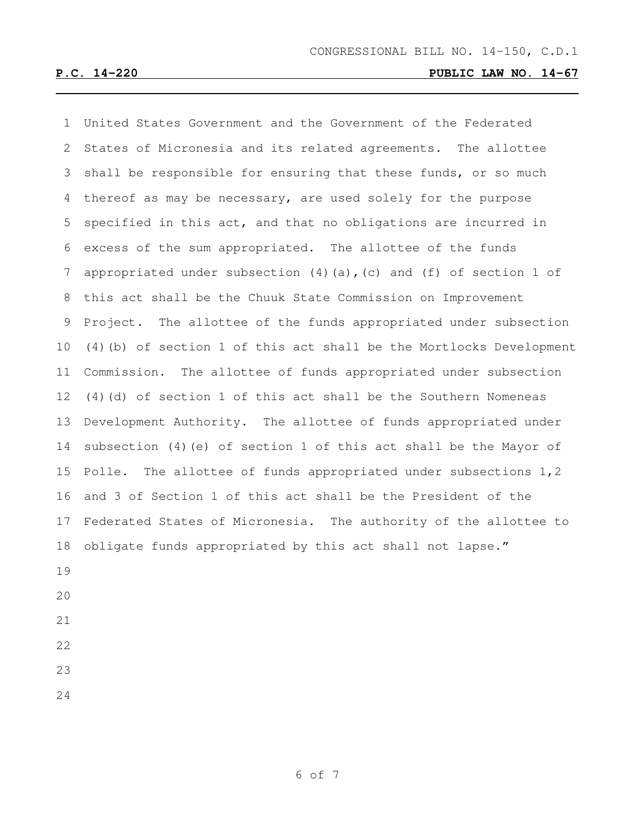United States Government and the Government of the Federated States of Micronesia and its related agreements. The allottee shall be responsible for ensuring that these funds, or so much thereof as may be necessary, are used solely for the purpose specified in this act, and that no obligations are incurred in excess of the sum appropriated. The allottee of the funds appropriated under subsection (4)(a),(c) and (f) of section 1 of this act shall be the Chuuk State Commission on Improvement Project. The allottee of the funds appropriated under subsection (4)(b) of section 1 of this act shall be the Mortlocks Development Commission. The allottee of funds appropriated under subsection (4)(d) of section 1 of this act shall be the Southern Nomeneas Development Authority. The allottee of funds appropriated under subsection (4)(e) of section 1 of this act shall be the Mayor of Polle. The allottee of funds appropriated under subsections 1,2 and 3 of Section 1 of this act shall be the President of the Federated States of Micronesia. The authority of the allottee to obligate funds appropriated by this act shall not lapse."